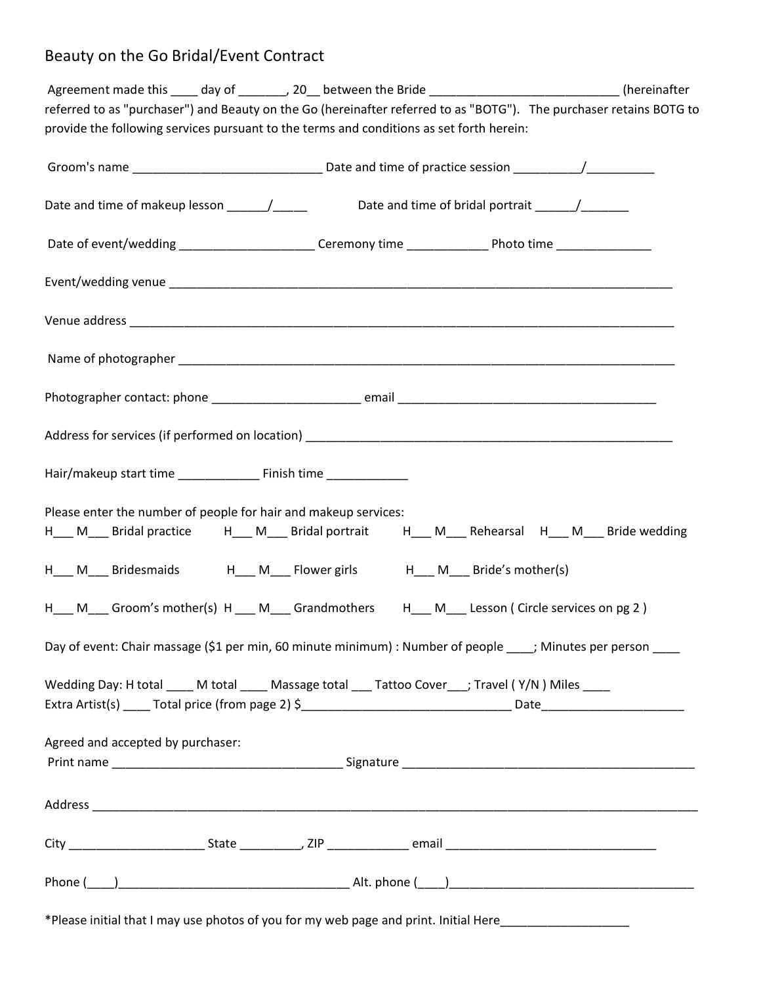## Beauty on the Go Bridal/Event Contract

| Agreement made this ____ day of _______, 20__ between the Bride __________________________(hereinafter              |  |
|---------------------------------------------------------------------------------------------------------------------|--|
| referred to as "purchaser") and Beauty on the Go (hereinafter referred to as "BOTG"). The purchaser retains BOTG to |  |
| provide the following services pursuant to the terms and conditions as set forth herein:                            |  |
|                                                                                                                     |  |
|                                                                                                                     |  |
|                                                                                                                     |  |
|                                                                                                                     |  |
|                                                                                                                     |  |
| Date of event/wedding ________________________Ceremony time ____________________Photo time __________________       |  |
|                                                                                                                     |  |
|                                                                                                                     |  |
|                                                                                                                     |  |
|                                                                                                                     |  |
|                                                                                                                     |  |
|                                                                                                                     |  |
|                                                                                                                     |  |
|                                                                                                                     |  |
|                                                                                                                     |  |
|                                                                                                                     |  |
|                                                                                                                     |  |
|                                                                                                                     |  |
|                                                                                                                     |  |
|                                                                                                                     |  |
| Please enter the number of people for hair and makeup services:                                                     |  |
| H___ M___ Bridal practice $H$ __ M___ Bridal portrait d H___ M___ Rehearsal d H___ M___ Bride wedding               |  |
|                                                                                                                     |  |
| H___ M___ Bridesmaids H___ M___ Flower girls H___ M___ Bride's mother(s)                                            |  |
|                                                                                                                     |  |
| H__ M__ Groom's mother(s) H __ M__ Grandmothers H_ M__ Lesson ( Circle services on pg 2 )                           |  |
|                                                                                                                     |  |
| Day of event: Chair massage (\$1 per min, 60 minute minimum) : Number of people ____; Minutes per person ____       |  |
|                                                                                                                     |  |
| Wedding Day: H total M total Massage total Tattoo Cover ; Travel (Y/N) Miles                                        |  |
|                                                                                                                     |  |
|                                                                                                                     |  |
| Agreed and accepted by purchaser:                                                                                   |  |
|                                                                                                                     |  |
|                                                                                                                     |  |
|                                                                                                                     |  |
|                                                                                                                     |  |
|                                                                                                                     |  |
|                                                                                                                     |  |
|                                                                                                                     |  |
|                                                                                                                     |  |
| *Please initial that I may use photos of you for my web page and print. Initial Here____________________            |  |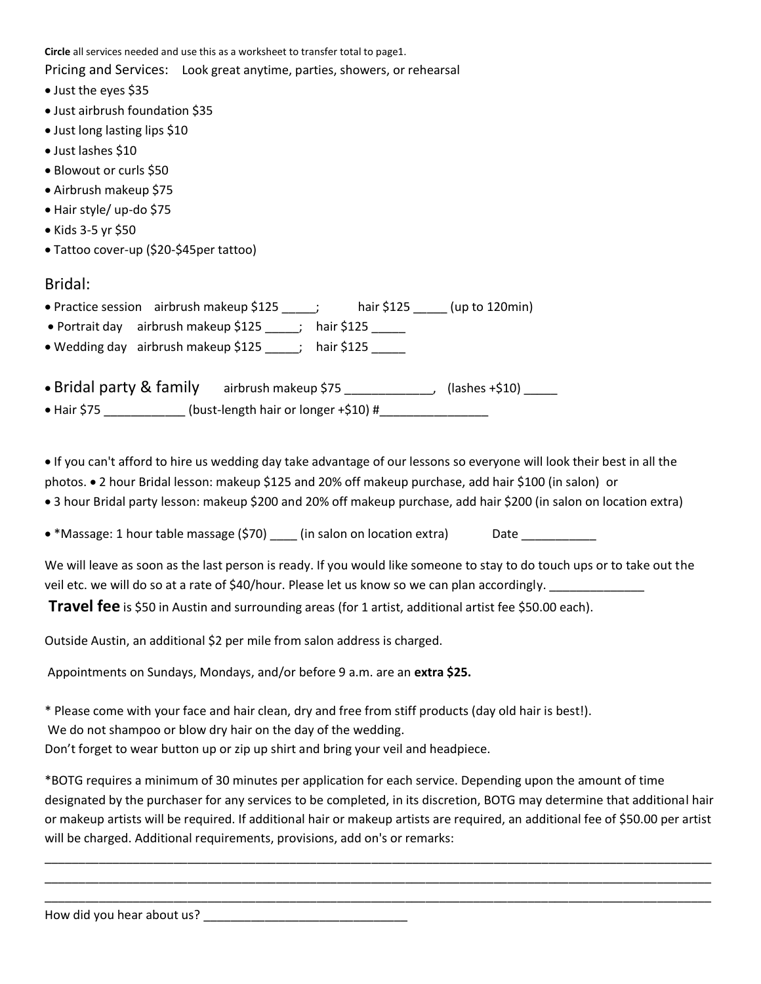**Circle** all services needed and use this as a worksheet to transfer total to page1.

Pricing and Services: Look great anytime, parties, showers, or rehearsal

- Just the eyes \$35
- Just airbrush foundation \$35
- Just long lasting lips \$10
- Just lashes \$10
- Blowout or curls \$50
- Airbrush makeup \$75
- Hair style/ up-do \$75
- Kids 3-5 yr \$50
- Tattoo cover-up (\$20-\$45per tattoo)

## Bridal:

|  | • Practice session airbrush makeup \$125 |  | hair \$125 | $\_$ (up to 120min) $\_$ |
|--|------------------------------------------|--|------------|--------------------------|
|--|------------------------------------------|--|------------|--------------------------|

- Portrait day airbrush makeup \$125 ; hair \$125
- Wedding day airbrush makeup \$125 [105] hair \$125

| • Bridal party & family | airbrush makeup \$75                 | $(lashed + $10)$ |
|-------------------------|--------------------------------------|------------------|
| $\bullet$ Hair \$75     | (bust-length hair or longer +\$10) # |                  |

 If you can't afford to hire us wedding day take advantage of our lessons so everyone will look their best in all the photos. 2 hour Bridal lesson: makeup \$125 and 20% off makeup purchase, add hair \$100 (in salon) or

- 3 hour Bridal party lesson: makeup \$200 and 20% off makeup purchase, add hair \$200 (in salon on location extra)
- \*Massage: 1 hour table massage (\$70)  $\qquad$  (in salon on location extra) Date

We will leave as soon as the last person is ready. If you would like someone to stay to do touch ups or to take out the veil etc. we will do so at a rate of \$40/hour. Please let us know so we can plan accordingly.

**Travel fee** is \$50 in Austin and surrounding areas (for 1 artist, additional artist fee \$50.00 each).

Outside Austin, an additional \$2 per mile from salon address is charged.

Appointments on Sundays, Mondays, and/or before 9 a.m. are an **extra \$25.**

\* Please come with your face and hair clean, dry and free from stiff products (day old hair is best!).

We do not shampoo or blow dry hair on the day of the wedding.

Don't forget to wear button up or zip up shirt and bring your veil and headpiece.

\*BOTG requires a minimum of 30 minutes per application for each service. Depending upon the amount of time designated by the purchaser for any services to be completed, in its discretion, BOTG may determine that additional hair or makeup artists will be required. If additional hair or makeup artists are required, an additional fee of \$50.00 per artist will be charged. Additional requirements, provisions, add on's or remarks:

\_\_\_\_\_\_\_\_\_\_\_\_\_\_\_\_\_\_\_\_\_\_\_\_\_\_\_\_\_\_\_\_\_\_\_\_\_\_\_\_\_\_\_\_\_\_\_\_\_\_\_\_\_\_\_\_\_\_\_\_\_\_\_\_\_\_\_\_\_\_\_\_\_\_\_\_\_\_\_\_\_\_\_\_\_\_\_\_\_\_\_\_\_\_\_\_\_\_ \_\_\_\_\_\_\_\_\_\_\_\_\_\_\_\_\_\_\_\_\_\_\_\_\_\_\_\_\_\_\_\_\_\_\_\_\_\_\_\_\_\_\_\_\_\_\_\_\_\_\_\_\_\_\_\_\_\_\_\_\_\_\_\_\_\_\_\_\_\_\_\_\_\_\_\_\_\_\_\_\_\_\_\_\_\_\_\_\_\_\_\_\_\_\_\_\_\_ \_\_\_\_\_\_\_\_\_\_\_\_\_\_\_\_\_\_\_\_\_\_\_\_\_\_\_\_\_\_\_\_\_\_\_\_\_\_\_\_\_\_\_\_\_\_\_\_\_\_\_\_\_\_\_\_\_\_\_\_\_\_\_\_\_\_\_\_\_\_\_\_\_\_\_\_\_\_\_\_\_\_\_\_\_\_\_\_\_\_\_\_\_\_\_\_\_\_